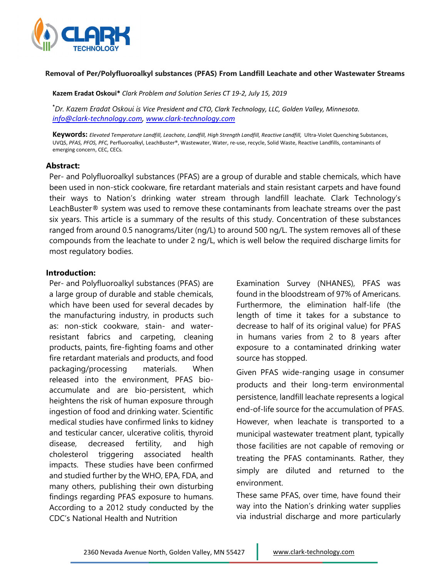

### **Removal of Per/Polyfluoroalkyl substances (PFAS) From Landfill Leachate and other Wastewater Streams**

**Kazem Eradat Oskoui\*** *Clark Problem and Solution Series CT 19‐2, July 15, 2019*

**\*** *Dr. Kazem Eradat Oskoui is Vice President and CTO, Clark Technology, LLC, Golden Valley, Minnesota. info@clark‐technology.com, www.clark‐technology.com*

**Keywords:** *Elevated Temperature Landfill, Leachate, Landfill, High Strength Landfill, Reactive Landfill,* Ultra‐Violet Quenching Substances, UVQS, *PFAS, PFOS, PFC,* Perfluoroalkyl, LeachBuster®, Wastewater, Water, re‐use, recycle, Solid Waste, Reactive Landfills, contaminants of emerging concern, CEC, CECs*.*

## **Abstract:**

Per- and Polyfluoroalkyl substances (PFAS) are a group of durable and stable chemicals, which have been used in non-stick cookware, fire retardant materials and stain resistant carpets and have found their ways to Nation's drinking water stream through landfill leachate. Clark Technology's LeachBuster® system was used to remove these contaminants from leachate streams over the past six years. This article is a summary of the results of this study. Concentration of these substances ranged from around 0.5 nanograms/Liter (ng/L) to around 500 ng/L. The system removes all of these compounds from the leachate to under 2 ng/L, which is well below the required discharge limits for most regulatory bodies.

## **Introduction:**

Per- and Polyfluoroalkyl substances (PFAS) are a large group of durable and stable chemicals, which have been used for several decades by the manufacturing industry, in products such as: non-stick cookware, stain- and waterresistant fabrics and carpeting, cleaning products, paints, fire-fighting foams and other fire retardant materials and products, and food packaging/processing materials. When released into the environment, PFAS bioaccumulate and are bio-persistent, which heightens the risk of human exposure through ingestion of food and drinking water. Scientific medical studies have confirmed links to kidney and testicular cancer, ulcerative colitis, thyroid disease, decreased fertility, and high cholesterol triggering associated health impacts. These studies have been confirmed and studied further by the WHO, EPA, FDA, and many others, publishing their own disturbing findings regarding PFAS exposure to humans. According to a 2012 study conducted by the CDC's National Health and Nutrition

Examination Survey (NHANES), PFAS was found in the bloodstream of 97% of Americans. Furthermore, the elimination half-life (the length of time it takes for a substance to decrease to half of its original value) for PFAS in humans varies from 2 to 8 years after exposure to a contaminated drinking water source has stopped.

Given PFAS wide-ranging usage in consumer products and their long-term environmental persistence, landfill leachate represents a logical end-of-life source for the accumulation of PFAS. However, when leachate is transported to a municipal wastewater treatment plant, typically those facilities are not capable of removing or treating the PFAS contaminants. Rather, they simply are diluted and returned to the environment.

These same PFAS, over time, have found their way into the Nation's drinking water supplies via industrial discharge and more particularly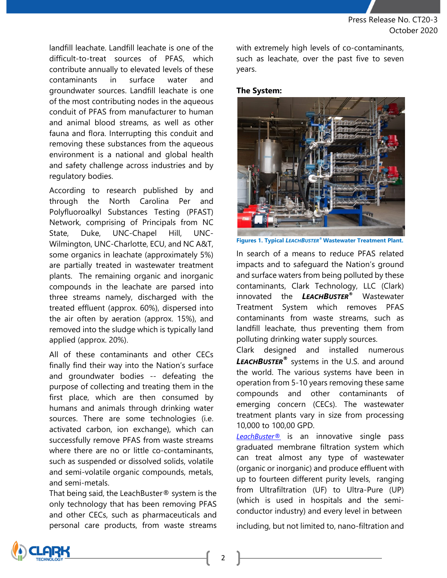landfill leachate. Landfill leachate is one of the difficult-to-treat sources of PFAS, which contribute annually to elevated levels of these contaminants in surface water and groundwater sources. Landfill leachate is one of the most contributing nodes in the aqueous conduit of PFAS from manufacturer to human and animal blood streams, as well as other fauna and flora. Interrupting this conduit and removing these substances from the aqueous environment is a national and global health and safety challenge across industries and by regulatory bodies.

According to research published by and through the North Carolina Per and Polyfluoroalkyl Substances Testing (PFAST) Network, comprising of Principals from NC State, Duke, UNC-Chapel Hill, UNC-Wilmington, UNC-Charlotte, ECU, and NC A&T, some organics in leachate (approximately 5%) are partially treated in wastewater treatment plants. The remaining organic and inorganic compounds in the leachate are parsed into three streams namely, discharged with the treated effluent (approx. 60%), dispersed into the air often by aeration (approx. 15%), and removed into the sludge which is typically land applied (approx. 20%).

All of these contaminants and other CECs finally find their way into the Nation's surface and groundwater bodies -- defeating the purpose of collecting and treating them in the first place, which are then consumed by humans and animals through drinking water sources. There are some technologies (i.e. activated carbon, ion exchange), which can successfully remove PFAS from waste streams where there are no or little co-contaminants, such as suspended or dissolved solids, volatile and semi-volatile organic compounds, metals, and semi-metals.

That being said, the LeachBuster® system is the only technology that has been removing PFAS and other CECs, such as pharmaceuticals and personal care products, from waste streams

with extremely high levels of co-contaminants, such as leachate, over the past five to seven years.

## **The System:**



**Figures 1. Typical** *LEACHBUSTER®***Wastewater Treatment Plant.** 

In search of a means to reduce PFAS related impacts and to safeguard the Nation's ground and surface waters from being polluted by these contaminants, Clark Technology, LLC (Clark) innovated the *LEACHBUSTER®* Wastewater Treatment System which removes PFAS contaminants from waste streams, such as landfill leachate, thus preventing them from polluting drinking water supply sources.

Clark designed and installed numerous *LEACHBUSTER®* systems in the U.S. and around the world. The various systems have been in operation from 5-10 years removing these same compounds and other contaminants of emerging concern (CECs). The wastewater treatment plants vary in size from processing 10,000 to 100,00 GPD.

*LeachBuster®* is an innovative single pass graduated membrane filtration system which can treat almost any type of wastewater (organic or inorganic) and produce effluent with up to fourteen different purity levels, ranging from Ultrafiltration (UF) to Ultra-Pure (UP) (which is used in hospitals and the semiconductor industry) and every level in between

including, but not limited to, nano-filtration and

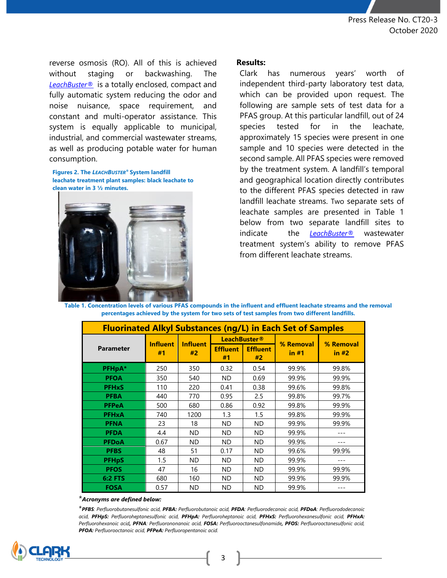reverse osmosis (RO). All of this is achieved without staging or backwashing. The *LeachBuster®* is a totally enclosed, compact and fully automatic system reducing the odor and noise nuisance, space requirement, and constant and multi-operator assistance. This system is equally applicable to municipal, industrial, and commercial wastewater streams, as well as producing potable water for human consumption.

**Figures 2. The** *LEACHBUSTER®* **System landfill leachate treatment plant samples: black leachate to clean water in 3 ½ minutes.** 



## **Results:**

Clark has numerous years' worth of independent third-party laboratory test data, which can be provided upon request. The following are sample sets of test data for a PFAS group. At this particular landfill, out of 24 species tested for in the leachate, approximately 15 species were present in one sample and 10 species were detected in the second sample. All PFAS species were removed by the treatment system. A landfill's temporal and geographical location directly contributes to the different PFAS species detected in raw landfill leachate streams. Two separate sets of leachate samples are presented in Table 1 below from two separate landfill sites to indicate the *LeachBuster®* wastewater treatment system's ability to remove PFAS from different leachate streams.

**Table 1. Concentration levels of various PFAS compounds in the influent and effluent leachate streams and the removal percentages achieved by the system for two sets of test samples from two different landfills.** 

| <b>Fluorinated Alkyl Substances (ng/L) in Each Set of Samples</b> |                       |                       |                       |                       |           |           |
|-------------------------------------------------------------------|-----------------------|-----------------------|-----------------------|-----------------------|-----------|-----------|
| <b>Parameter</b>                                                  | <b>Influent</b><br>#1 | <b>Influent</b><br>#2 | <b>LeachBuster®</b>   |                       | % Removal | % Removal |
|                                                                   |                       |                       | <b>Effluent</b><br>#1 | <b>Effluent</b><br>#2 | in #1     | in #2     |
| PFHpA*                                                            | 250                   | 350                   | 0.32                  | 0.54                  | 99.9%     | 99.8%     |
| <b>PFOA</b>                                                       | 350                   | 540                   | ND.                   | 0.69                  | 99.9%     | 99.9%     |
| <b>PFH<sub>x</sub>S</b>                                           | 110                   | 220                   | 0.41                  | 0.38                  | 99.6%     | 99.8%     |
| <b>PFBA</b>                                                       | 440                   | 770                   | 0.95                  | 2.5                   | 99.8%     | 99.7%     |
| <b>PFPeA</b>                                                      | 500                   | 680                   | 0.86                  | 0.92                  | 99.8%     | 99.9%     |
| <b>PFHxA</b>                                                      | 740                   | 1200                  | 1.3                   | $1.5\,$               | 99.8%     | 99.9%     |
| <b>PFNA</b>                                                       | 23                    | 18                    | ND.                   | <b>ND</b>             | 99.9%     | 99.9%     |
| <b>PFDA</b>                                                       | 4.4                   | <b>ND</b>             | ND.                   | <b>ND</b>             | 99.9%     |           |
| <b>PFDoA</b>                                                      | 0.67                  | <b>ND</b>             | ND.                   | <b>ND</b>             | 99.9%     |           |
| <b>PFBS</b>                                                       | 48                    | 51                    | 0.17                  | <b>ND</b>             | 99.6%     | 99.9%     |
| <b>PFHpS</b>                                                      | 1.5                   | ND.                   | ND                    | ND.                   | 99.9%     |           |
| <b>PFOS</b>                                                       | 47                    | 16                    | ND.                   | <b>ND</b>             | 99.9%     | 99.9%     |
| <b>6:2 FTS</b>                                                    | 680                   | 160                   | ND.                   | <b>ND</b>             | 99.9%     | 99.9%     |
| <b>FOSA</b>                                                       | 0.57                  | <b>ND</b>             | ND                    | <b>ND</b>             | 99.9%     |           |

\**Acronyms are defined below:*

\**PFBS: Perfluorobutanesulfonic acid, PFBA: Perfluorobutanoic acid, PFDA: Perfluorodecanoic acid, PFDoA: Perfluorododecanoic acid, PFHpS: Perfluoroheptanesulfonic acid, PFHpA: Perfluoroheptanoic acid, PFHxS: Perfluorohexanesulfonic acid, PFHxA: Perfluorohexanoic acid, PFNA: Perfluorononanoic acid, FOSA: Perfluorooctanesulfonamide, PFOS: Perfluorooctanesulfonic acid, PFOA: Perfluorooctanoic acid, PFPeA: Perfluoropentanoic acid.*